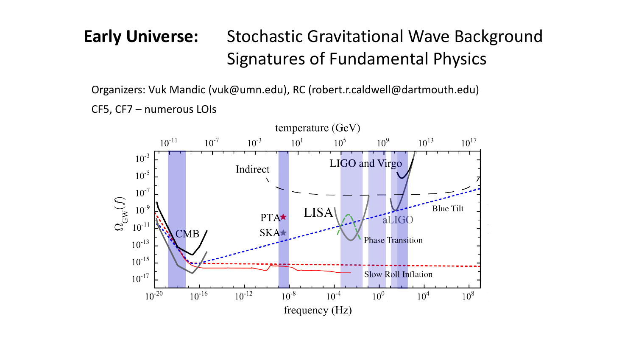## **Early Universe:** Stochastic Gravitational Wave Background Signatures of Fundamental Physics

Organizers: Vuk Mandic (vuk@umn.edu), RC (robert.r.caldwell@dartmouth.edu) CF5, CF7 – numerous LOIs

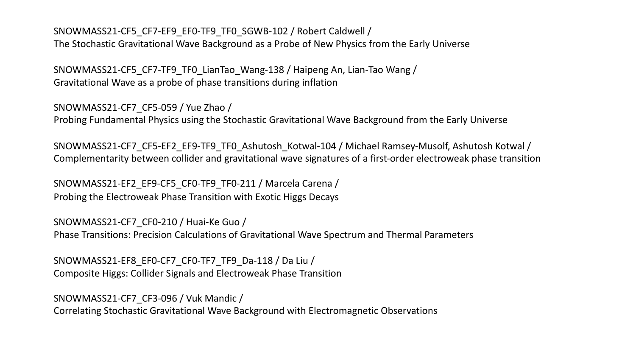SNOWMASS21-CF5\_CF7-EF9\_EF0-TF9\_TF0\_SGWB-102 / Robert Caldwell / The Stochastic Gravitational Wave Background as a Probe of New Physics from the Early Universe

SNOWMASS21-CF5\_CF7-TF9\_TF0\_LianTao\_Wang-138 / Haipeng An, Lian-Tao Wang / Gravitational Wave as a probe of phase transitions during inflation

SNOWMASS21-CF7\_CF5-059 / Yue Zhao /

Probing Fundamental Physics using the Stochastic Gravitational Wave Background from the Early Universe

SNOWMASS21-CF7\_CF5-EF2\_EF9-TF9\_TF0\_Ashutosh\_Kotwal-104 / Michael Ramsey-Musolf, Ashutosh Kotwal / Complementarity between collider and gravitational wave signatures of a first-order electroweak phase transition

SNOWMASS21-EF2\_EF9-CF5\_CF0-TF9\_TF0-211 / Marcela Carena / Probing the Electroweak Phase Transition with Exotic Higgs Decays

SNOWMASS21-CF7\_CF0-210 / Huai-Ke Guo / Phase Transitions: Precision Calculations of Gravitational Wave Spectrum and Thermal Parameters

SNOWMASS21-EF8\_EF0-CF7\_CF0-TF7\_TF9\_Da-118 / Da Liu / Composite Higgs: Collider Signals and Electroweak Phase Transition

SNOWMASS21-CF7\_CF3-096 / Vuk Mandic / Correlating Stochastic Gravitational Wave Background with Electromagnetic Observations